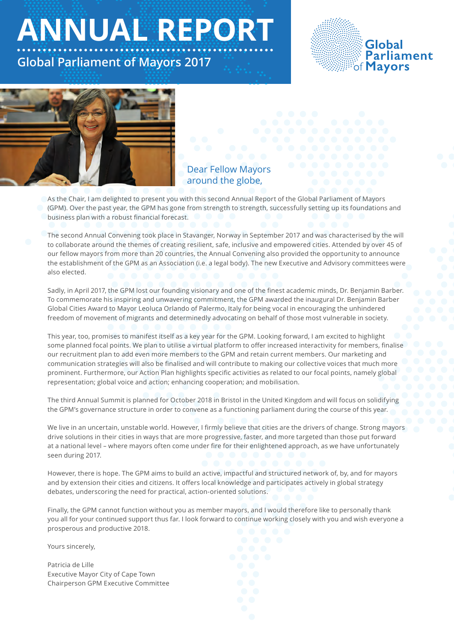**ANNUAL REPORT** 

# **Global Parliament of Mayors 2017**





## Dear Fellow Mayors around the globe,

As the Chair, I am delighted to present you with this second Annual Report of the Global Parliament of Mayors (GPM). Over the past year, the GPM has gone from strength to strength, successfully setting up its foundations and business plan with a robust financial forecast.

The second Annual Convening took place in Stavanger, Norway in September 2017 and was characterised by the will to collaborate around the themes of creating resilient, safe, inclusive and empowered cities. Attended by over 45 of our fellow mayors from more than 20 countries, the Annual Convening also provided the opportunity to announce the establishment of the GPM as an Association (i.e. a legal body). The new Executive and Advisory committees were also elected.

Sadly, in April 2017, the GPM lost our founding visionary and one of the finest academic minds, Dr. Benjamin Barber. To commemorate his inspiring and unwavering commitment, the GPM awarded the inaugural Dr. Benjamin Barber Global Cities Award to Mayor Leoluca Orlando of Palermo, Italy for being vocal in encouraging the unhindered freedom of movement of migrants and determinedly advocating on behalf of those most vulnerable in society.

This year, too, promises to manifest itself as a key year for the GPM. Looking forward, I am excited to highlight some planned focal points. We plan to utilise a virtual platform to offer increased interactivity for members, finalise our recruitment plan to add even more members to the GPM and retain current members. Our marketing and communication strategies will also be finalised and will contribute to making our collective voices that much more prominent. Furthermore, our Action Plan highlights specific activities as related to our focal points, namely global representation; global voice and action; enhancing cooperation; and mobilisation.

The third Annual Summit is planned for October 2018 in Bristol in the United Kingdom and will focus on solidifying the GPM's governance structure in order to convene as a functioning parliament during the course of this year.

We live in an uncertain, unstable world. However, I firmly believe that cities are the drivers of change. Strong mayors drive solutions in their cities in ways that are more progressive, faster, and more targeted than those put forward at a national level – where mayors often come under fire for their enlightened approach, as we have unfortunately seen during 2017.

However, there is hope. The GPM aims to build an active, impactful and structured network of, by, and for mayors and by extension their cities and citizens. It offers local knowledge and participates actively in global strategy debates, underscoring the need for practical, action-oriented solutions.

Finally, the GPM cannot function without you as member mayors, and I would therefore like to personally thank you all for your continued support thus far. I look forward to continue working closely with you and wish everyone a prosperous and productive 2018.

Yours sincerely,

Patricia de Lille Executive Mayor City of Cape Town Chairperson GPM Executive Committee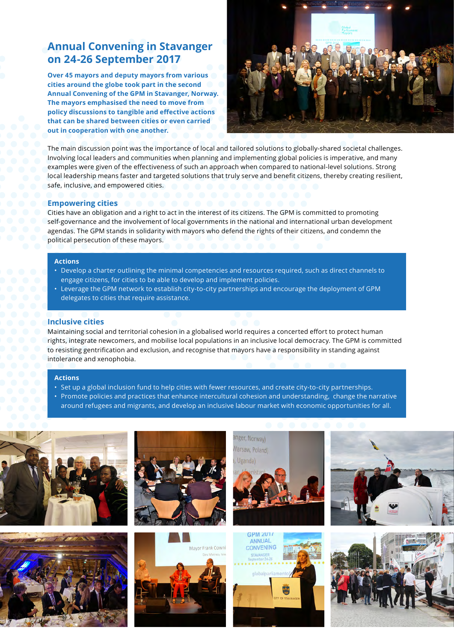## **Annual Convening in Stavanger on 24-26 September 2017**

**Over 45 mayors and deputy mayors from various cities around the globe took part in the second Annual Convening of the GPM in Stavanger, Norway. The mayors emphasised the need to move from policy discussions to tangible and effective actions that can be shared between cities or even carried out in cooperation with one another.** 



The main discussion point was the importance of local and tailored solutions to globally-shared societal challenges. Involving local leaders and communities when planning and implementing global policies is imperative, and many examples were given of the effectiveness of such an approach when compared to national-level solutions. Strong local leadership means faster and targeted solutions that truly serve and benefit citizens, thereby creating resilient, safe, inclusive, and empowered cities.

## **Empowering cities**

Cities have an obligation and a right to act in the interest of its citizens. The GPM is committed to promoting self-governance and the involvement of local governments in the national and international urban development agendas. The GPM stands in solidarity with mayors who defend the rights of their citizens, and condemn the political persecution of these mayors.

## **Actions**

- Develop a charter outlining the minimal competencies and resources required, such as direct channels to engage citizens, for cities to be able to develop and implement policies.
- Leverage the GPM network to establish city-to-city partnerships and encourage the deployment of GPM delegates to cities that require assistance.

## **Inclusive cities**

Maintaining social and territorial cohesion in a globalised world requires a concerted effort to protect human rights, integrate newcomers, and mobilise local populations in an inclusive local democracy. The GPM is committed to resisting gentrification and exclusion, and recognise that mayors have a responsibility in standing against intolerance and xenophobia.

### **Actions**

- Set up a global inclusion fund to help cities with fewer resources, and create city-to-city partnerships.
- Promote policies and practices that enhance intercultural cohesion and understanding, change the narrative around refugees and migrants, and develop an inclusive labour market with economic opportunities for all.







Mayor Frank Cowni



**ANNUIAL** 

CONVENING



![](_page_1_Picture_19.jpeg)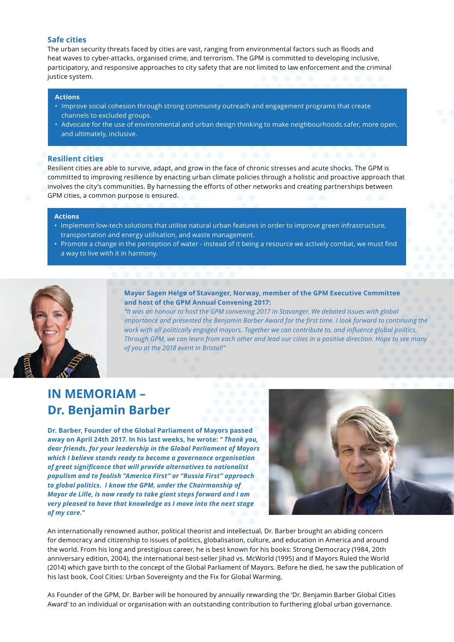## **Safe cities**

The urban security threats faced by cities are vast, ranging from environmental factors such as floods and heat waves to cyber-attacks, organised crime, and terrorism. The GPM is committed to developing inclusive, participatory, and responsive approaches to city safety that are not limited to law enforcement and the criminal justice system.

## **Actions**

- Improve social cohesion through strong community outreach and engagement programs that create channels to excluded groups.
- Advocate for the use of environmental and urban design thinking to make neighbourhoods safer, more open, and ultimately, inclusive.

## **Resilient cities**

Resilient cities are able to survive, adapt, and grow in the face of chronic stresses and acute shocks. The GPM is committed to improving resilience by enacting urban climate policies through a holistic and proactive approach that involves the city's communities. By harnessing the efforts of other networks and creating partnerships between GPM cities, a common purpose is ensured.

## **Actions**

- Implement low-tech solutions that utilise natural urban features in order to improve green infrastructure, transportation and energy utilisation, and waste management.
- Promote a change in the perception of water instead of it being a resource we actively combat, we must find a way to live with it in harmony.

![](_page_2_Picture_10.jpeg)

**Mayor Sagen Helgø of Stavanger, Norway, member of the GPM Executive Committee and host of the GPM Annual Convening 2017:**

*"It was an honour to host the GPM convening 2017 in Stavanger. We debated issues with global importance and presented the Benjamin Barber Award for the first time. I look forward to continuing the work with all politically engaged mayors. Together we can contribute to, and influence global politics. Through GPM, we can learn from each other and lead our cities in a positive direction. Hope to see many of you at the 2018 event in Bristol!"*

# **IN MEMORIAM – Dr. Benjamin Barber**

**Dr. Barber, Founder of the Global Parliament of Mayors passed away on April 24th 2017. In his last weeks, he wrote:** *" Thank you, dear friends, for your leadership in the Global Parliament of Mayors which I believe stands ready to become a governance organisation of great significance that will provide alternatives to nationalist populism and to foolish "America First" or "Russia First" approach to global politics. I know the GPM, under the Chairmanship of Mayor de Lille, is now ready to take giant steps forward and I am very pleased to have that knowledge as I move into the next stage of my care."*

![](_page_2_Picture_15.jpeg)

An internationally renowned author, political theorist and intellectual, Dr. Barber brought an abiding concern for democracy and citizenship to issues of politics, globalisation, culture, and education in America and around the world. From his long and prestigious career, he is best known for his books: Strong Democracy (1984, 20th anniversary edition, 2004), the international best-seller Jihad vs. McWorld (1995) and If Mayors Ruled the World (2014) which gave birth to the concept of the Global Parliament of Mayors. Before he died, he saw the publication of his last book, Cool Cities: Urban Sovereignty and the Fix for Global Warming.

As Founder of the GPM, Dr. Barber will be honoured by annually rewarding the 'Dr. Benjamin Barber Global Cities Award' to an individual or organisation with an outstanding contribution to furthering global urban governance.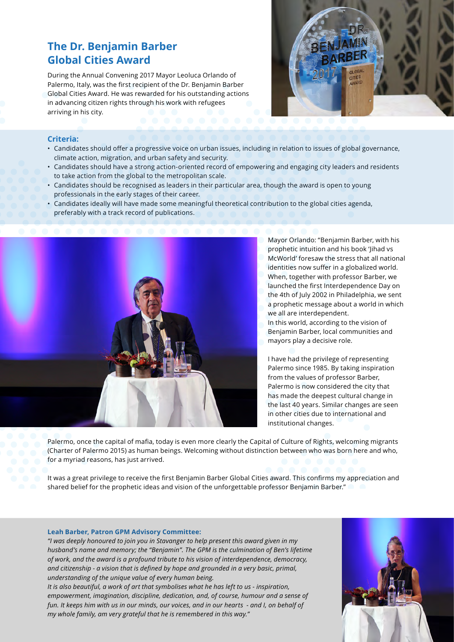# **The Dr. Benjamin Barber Global Cities Award**

During the Annual Convening 2017 Mayor Leoluca Orlando of Palermo, Italy, was the first recipient of the Dr. Benjamin Barber Global Cities Award. He was rewarded for his outstanding actions in advancing citizen rights through his work with refugees arriving in his city.

![](_page_3_Picture_2.jpeg)

## **Criteria:**

- Candidates should offer a progressive voice on urban issues, including in relation to issues of global governance, climate action, migration, and urban safety and security.
- Candidates should have a strong action-oriented record of empowering and engaging city leaders and residents to take action from the global to the metropolitan scale.
- Candidates should be recognised as leaders in their particular area, though the award is open to young professionals in the early stages of their career.
- Candidates ideally will have made some meaningful theoretical contribution to the global cities agenda, preferably with a track record of publications.

![](_page_3_Picture_8.jpeg)

Mayor Orlando: "Benjamin Barber, with his prophetic intuition and his book 'Jihad vs McWorld' foresaw the stress that all national identities now suffer in a globalized world. When, together with professor Barber, we launched the first Interdependence Day on the 4th of July 2002 in Philadelphia, we sent a prophetic message about a world in which we all are interdependent.

In this world, according to the vision of Benjamin Barber, local communities and mayors play a decisive role.

I have had the privilege of representing Palermo since 1985. By taking inspiration from the values of professor Barber, Palermo is now considered the city that has made the deepest cultural change in the last 40 years. Similar changes are seen in other cities due to international and institutional changes.

Palermo, once the capital of mafia, today is even more clearly the Capital of Culture of Rights, welcoming migrants (Charter of Palermo 2015) as human beings. Welcoming without distinction between who was born here and who, for a myriad reasons, has just arrived.

It was a great privilege to receive the first Benjamin Barber Global Cities award. This confirms my appreciation and shared belief for the prophetic ideas and vision of the unforgettable professor Benjamin Barber."

### **Leah Barber, Patron GPM Advisory Committee:**

*"I was deeply honoured to join you in Stavanger to help present this award given in my husband's name and memory; the "Benjamin". The GPM is the culmination of Ben's lifetime of work, and the award is a profound tribute to his vision of interdependence, democracy, and citizenship - a vision that is defined by hope and grounded in a very basic, primal, understanding of the unique value of every human being.*

*It is also beautiful, a work of art that symbolises what he has left to us - inspiration, empowerment, imagination, discipline, dedication, and, of course, humour and a sense of fun. It keeps him with us in our minds, our voices, and in our hearts - and I, on behalf of my whole family, am very grateful that he is remembered in this way."*

![](_page_3_Picture_17.jpeg)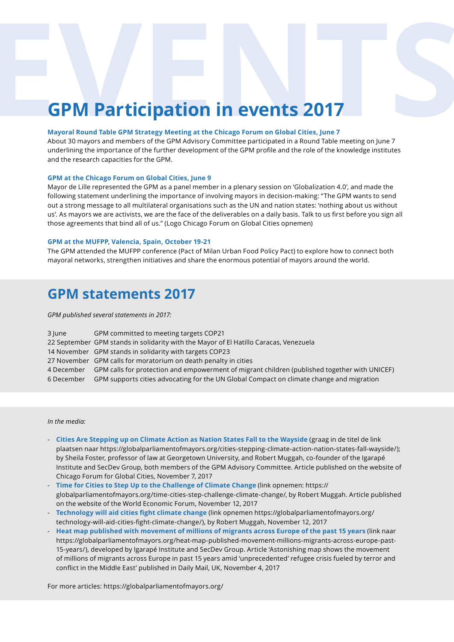# **EVENT PARTICIPATION IN EVENTS 2017**<br>
Mayoral Round Table GPM Strategy Meeting at the Chicago Forum on Global Cities, June 7<br>About 30 mayors and members of the GPM Advisory Committee participated in a Round Table meeting o

## **Mayoral Round Table GPM Strategy Meeting at the Chicago Forum on Global Cities, June 7**

About 30 mayors and members of the GPM Advisory Committee participated in a Round Table meeting on June 7 underlining the importance of the further development of the GPM profile and the role of the knowledge institutes and the research capacities for the GPM.

## **GPM at the Chicago Forum on Global Cities, June 9**

Mayor de Lille represented the GPM as a panel member in a plenary session on 'Globalization 4.0', and made the following statement underlining the importance of involving mayors in decision-making: "The GPM wants to send out a strong message to all multilateral organisations such as the UN and nation states: 'nothing about us without us'. As mayors we are activists, we are the face of the deliverables on a daily basis. Talk to us first before you sign all those agreements that bind all of us." (Logo Chicago Forum on Global Cities opnemen)

## **GPM at the MUFPP, Valencia, Spain, October 19-21**

The GPM attended the MUFPP conference (Pact of Milan Urban Food Policy Pact) to explore how to connect both mayoral networks, strengthen initiatives and share the enormous potential of mayors around the world.

# **GPM statements 2017**

*GPM published several statements in 2017:*

| 3 June     | GPM committed to meeting targets COP21                                                        |
|------------|-----------------------------------------------------------------------------------------------|
|            | 22 September GPM stands in solidarity with the Mayor of El Hatillo Caracas, Venezuela         |
|            | 14 November GPM stands in solidarity with targets COP23                                       |
|            | 27 November GPM calls for moratorium on death penalty in cities                               |
| 4 December | GPM calls for protection and empowerment of migrant children (published together with UNICEF) |
| 6 December | GPM supports cities advocating for the UN Global Compact on climate change and migration      |

*In the media:*

- **Cities Are Stepping up on Climate Action as Nation States Fall to the Wayside** (graag in de titel de link plaatsen naar https://globalparliamentofmayors.org/cities-stepping-climate-action-nation-states-fall-wayside/); by Sheila Foster, professor of law at Georgetown University, and Robert Muggah, co-founder of the Igarapé Institute and SecDev Group, both members of the GPM Advisory Committee. Article published on the website of Chicago Forum for Global Cities, November 7, 2017
- **Time for Cities to Step Up to the Challenge of Climate Change** (link opnemen: https:// globalparliamentofmayors.org/time-cities-step-challenge-climate-change/, by Robert Muggah. Article published on the website of the World Economic Forum, November 12, 2017
- **Technology will aid cities fight climate change** (link opnemen https://globalparliamentofmayors.org/ technology-will-aid-cities-fight-climate-change/), by Robert Muggah, November 12, 2017
- **Heat map published with movement of millions of migrants across Europe of the past 15 years** (link naar https://globalparliamentofmayors.org/heat-map-published-movement-millions-migrants-across-europe-past-15-years/), developed by Igarapé Institute and SecDev Group. Article 'Astonishing map shows the movement of millions of migrants across Europe in past 15 years amid 'unprecedented' refugee crisis fueled by terror and conflict in the Middle East' published in Daily Mail, UK, November 4, 2017

For more articles: https://globalparliamentofmayors.org/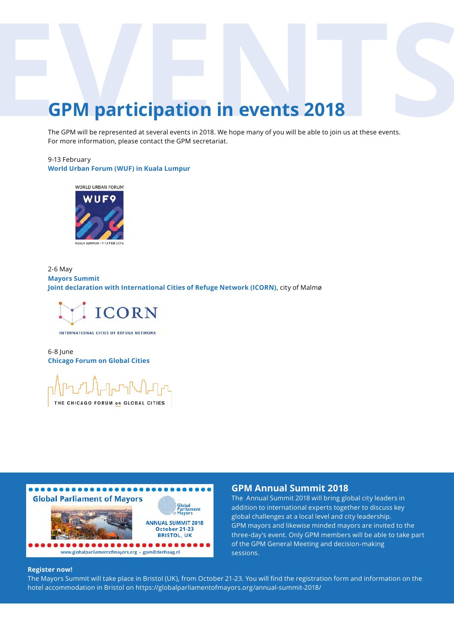# The GPM **participation in events 2018**<br>The GPM will be represented at several events in 2018. We hope many of you will be able to join us at these events.<br>For more information, please contact the GPM secretariat.

The GPM will be represented at several events in 2018. We hope many of you will be able to join us at these events. For more information, please contact the GPM secretariat.

## 9-13 February **World Urban Forum (WUF) in Kuala Lumpur**

![](_page_5_Picture_3.jpeg)

2-6 May **Mayors Summit Joint declaration with International Cities of Refuge Network (ICORN),** city of Malmø

![](_page_5_Picture_5.jpeg)

INTERNATIONAL CITIES OF REFUGE NETWORK

## 6-8 June **Chicago Forum on Global Cities**

ᠾᡃᠾ᠘ᡫᢧᠾᠴᡪᡌ᠘ᠾᡙ THE CHICAGO FORUM on GLOBAL CITIES

![](_page_5_Picture_9.jpeg)

## **GPM Annual Summit 2018**

The Annual Summit 2018 will bring global city leaders in addition to international experts together to discuss key global challenges at a local level and city leadership. GPM mayors and likewise minded mayors are invited to the three-day's event. Only GPM members will be able to take part of the GPM General Meeting and decision-making sessions.

## **Register now!**

The Mayors Summit will take place in Bristol (UK), from October 21-23. You will find the registration form and information on the hotel accommodation in Bristol on https://globalparliamentofmayors.org/annual-summit-2018/